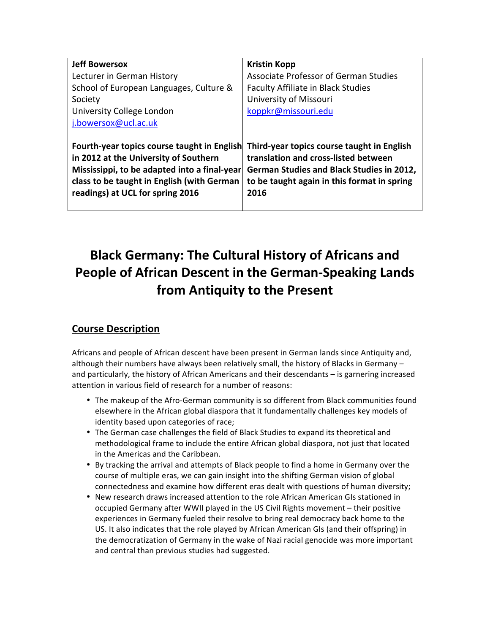| <b>Jeff Bowersox</b>                                                                                                                                                                                                   | <b>Kristin Kopp</b>                                                                                                                                                                    |
|------------------------------------------------------------------------------------------------------------------------------------------------------------------------------------------------------------------------|----------------------------------------------------------------------------------------------------------------------------------------------------------------------------------------|
| Lecturer in German History                                                                                                                                                                                             | Associate Professor of German Studies                                                                                                                                                  |
| School of European Languages, Culture &                                                                                                                                                                                | <b>Faculty Affiliate in Black Studies</b>                                                                                                                                              |
| Society                                                                                                                                                                                                                | University of Missouri                                                                                                                                                                 |
| University College London                                                                                                                                                                                              | koppkr@missouri.edu                                                                                                                                                                    |
| j.bowersox@ucl.ac.uk                                                                                                                                                                                                   |                                                                                                                                                                                        |
|                                                                                                                                                                                                                        |                                                                                                                                                                                        |
| Fourth-year topics course taught in English<br>in 2012 at the University of Southern<br>Mississippi, to be adapted into a final-year<br>class to be taught in English (with German<br>readings) at UCL for spring 2016 | Third-year topics course taught in English<br>translation and cross-listed between<br>German Studies and Black Studies in 2012,<br>to be taught again in this format in spring<br>2016 |

# **Black Germany: The Cultural History of Africans and People of African Descent in the German-Speaking Lands from Antiquity to the Present**

# **Course Description**

Africans and people of African descent have been present in German lands since Antiquity and, although their numbers have always been relatively small, the history of Blacks in Germany  $$ and particularly, the history of African Americans and their descendants – is garnering increased attention in various field of research for a number of reasons:

- The makeup of the Afro-German community is so different from Black communities found elsewhere in the African global diaspora that it fundamentally challenges key models of identity based upon categories of race;
- The German case challenges the field of Black Studies to expand its theoretical and methodological frame to include the entire African global diaspora, not just that located in the Americas and the Caribbean.
- By tracking the arrival and attempts of Black people to find a home in Germany over the course of multiple eras, we can gain insight into the shifting German vision of global connectedness and examine how different eras dealt with questions of human diversity;
- New research draws increased attention to the role African American GIs stationed in occupied Germany after WWII played in the US Civil Rights movement – their positive experiences in Germany fueled their resolve to bring real democracy back home to the US. It also indicates that the role played by African American GIs (and their offspring) in the democratization of Germany in the wake of Nazi racial genocide was more important and central than previous studies had suggested.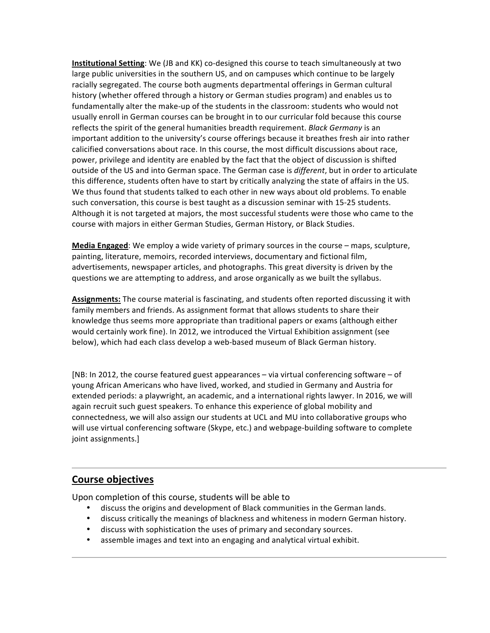**Institutional Setting**: We (JB and KK) co-designed this course to teach simultaneously at two large public universities in the southern US, and on campuses which continue to be largely racially segregated. The course both augments departmental offerings in German cultural history (whether offered through a history or German studies program) and enables us to fundamentally alter the make-up of the students in the classroom: students who would not usually enroll in German courses can be brought in to our curricular fold because this course reflects the spirit of the general humanities breadth requirement. *Black Germany* is an important addition to the university's course offerings because it breathes fresh air into rather calicified conversations about race. In this course, the most difficult discussions about race, power, privilege and identity are enabled by the fact that the object of discussion is shifted outside of the US and into German space. The German case is *different*, but in order to articulate this difference, students often have to start by critically analyzing the state of affairs in the US. We thus found that students talked to each other in new ways about old problems. To enable such conversation, this course is best taught as a discussion seminar with 15-25 students. Although it is not targeted at majors, the most successful students were those who came to the course with majors in either German Studies, German History, or Black Studies.

**Media Engaged**: We employ a wide variety of primary sources in the course – maps, sculpture, painting, literature, memoirs, recorded interviews, documentary and fictional film, advertisements, newspaper articles, and photographs. This great diversity is driven by the questions we are attempting to address, and arose organically as we built the syllabus.

Assignments: The course material is fascinating, and students often reported discussing it with family members and friends. As assignment format that allows students to share their knowledge thus seems more appropriate than traditional papers or exams (although either would certainly work fine). In 2012, we introduced the Virtual Exhibition assignment (see below), which had each class develop a web-based museum of Black German history.

[NB: In 2012, the course featured guest appearances – via virtual conferencing software – of young African Americans who have lived, worked, and studied in Germany and Austria for extended periods: a playwright, an academic, and a international rights lawyer. In 2016, we will again recruit such guest speakers. To enhance this experience of global mobility and connectedness, we will also assign our students at UCL and MU into collaborative groups who will use virtual conferencing software (Skype, etc.) and webpage-building software to complete joint assignments.]

### **Course objectives**

Upon completion of this course, students will be able to

- discuss the origins and development of Black communities in the German lands.
- discuss critically the meanings of blackness and whiteness in modern German history.
- discuss with sophistication the uses of primary and secondary sources.
- assemble images and text into an engaging and analytical virtual exhibit.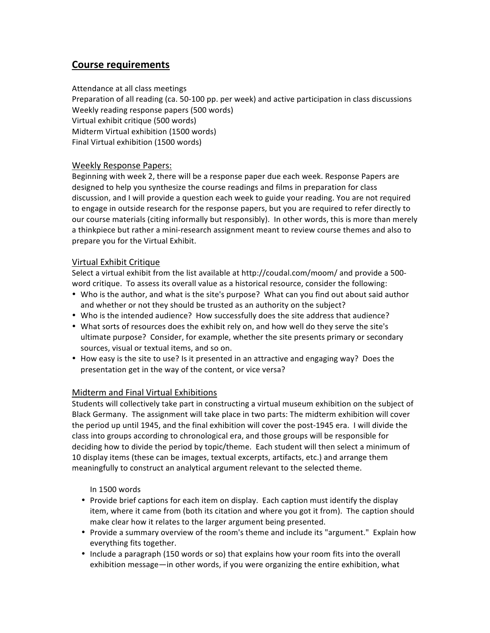# **Course requirements**

Attendance at all class meetings

Preparation of all reading (ca. 50-100 pp. per week) and active participation in class discussions Weekly reading response papers (500 words) Virtual exhibit critique (500 words) Midterm Virtual exhibition (1500 words) Final Virtual exhibition (1500 words)

### Weekly Response Papers:

Beginning with week 2, there will be a response paper due each week. Response Papers are designed to help you synthesize the course readings and films in preparation for class discussion, and I will provide a question each week to guide your reading. You are not required to engage in outside research for the response papers, but you are required to refer directly to our course materials (citing informally but responsibly). In other words, this is more than merely a thinkpiece but rather a mini-research assignment meant to review course themes and also to prepare you for the Virtual Exhibit.

#### Virtual Exhibit Critique

Select a virtual exhibit from the list available at http://coudal.com/moom/ and provide a 500word critique. To assess its overall value as a historical resource, consider the following:

- Who is the author, and what is the site's purpose? What can you find out about said author and whether or not they should be trusted as an authority on the subject?
- Who is the intended audience? How successfully does the site address that audience?
- What sorts of resources does the exhibit rely on, and how well do they serve the site's ultimate purpose? Consider, for example, whether the site presents primary or secondary sources, visual or textual items, and so on.
- How easy is the site to use? Is it presented in an attractive and engaging way? Does the presentation get in the way of the content, or vice versa?

### Midterm and Final Virtual Exhibitions

Students will collectively take part in constructing a virtual museum exhibition on the subject of Black Germany. The assignment will take place in two parts: The midterm exhibition will cover the period up until 1945, and the final exhibition will cover the post-1945 era. I will divide the class into groups according to chronological era, and those groups will be responsible for deciding how to divide the period by topic/theme. Each student will then select a minimum of 10 display items (these can be images, textual excerpts, artifacts, etc.) and arrange them meaningfully to construct an analytical argument relevant to the selected theme.

In 1500 words

- Provide brief captions for each item on display. Each caption must identify the display item, where it came from (both its citation and where you got it from). The caption should make clear how it relates to the larger argument being presented.
- Provide a summary overview of the room's theme and include its "argument." Explain how everything fits together.
- Include a paragraph (150 words or so) that explains how your room fits into the overall exhibition message—in other words, if you were organizing the entire exhibition, what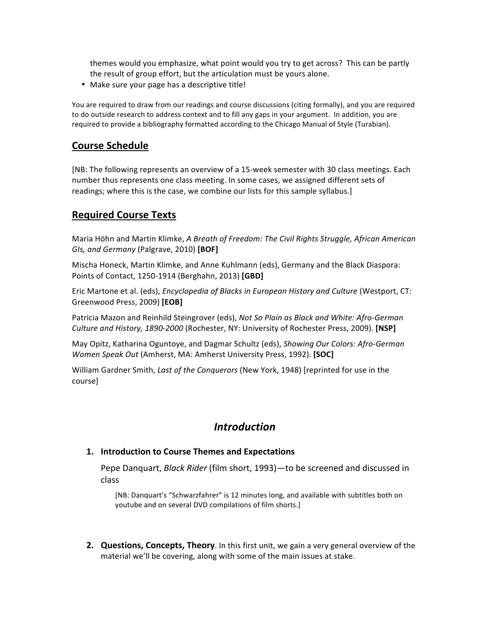themes would you emphasize, what point would you try to get across? This can be partly the result of group effort, but the articulation must be yours alone.

• Make sure your page has a descriptive title!

You are required to draw from our readings and course discussions (citing formally), and you are required to do outside research to address context and to fill any gaps in your argument. In addition, you are required to provide a bibliography formatted according to the Chicago Manual of Style (Turabian).

### **Course Schedule**

[NB: The following represents an overview of a 15-week semester with 30 class meetings. Each number thus represents one class meeting. In some cases, we assigned different sets of readings; where this is the case, we combine our lists for this sample syllabus.]

### **Required Course Texts**

Maria Höhn and Martin Klimke, *A Breath of Freedom: The Civil Rights Struggle, African American GIs, and Germany* (Palgrave, 2010) [BOF]

Mischa Honeck, Martin Klimke, and Anne Kuhlmann (eds), Germany and the Black Diaspora: Points of Contact, 1250-1914 (Berghahn, 2013) **[GBD]**

Eric Martone et al. (eds), *Encyclopedia of Blacks in European History and Culture* (Westport, CT: Greenwood Press, 2009) **[EOB]**

Patricia Mazon and Reinhild Steingrover (eds), Not So Plain as Black and White: Afro-German *Culture and History, 1890-2000* (Rochester, NY: University of Rochester Press, 2009). [NSP]

May Opitz, Katharina Oguntoye, and Dagmar Schultz (eds), Showing Our Colors: Afro-German *Women Speak Out* (Amherst, MA: Amherst University Press, 1992). **[SOC]** 

William Gardner Smith, *Last of the Conquerors* (New York, 1948) [reprinted for use in the course] 

### *Introduction*

#### **1.** Introduction to Course Themes and Expectations

Pepe Danquart, *Black Rider* (film short, 1993)—to be screened and discussed in class

[NB: Danquart's "Schwarzfahrer" is 12 minutes long, and available with subtitles both on youtube and on several DVD compilations of film shorts.]

**2. Questions, Concepts, Theory**. In this first unit, we gain a very general overview of the material we'll be covering, along with some of the main issues at stake.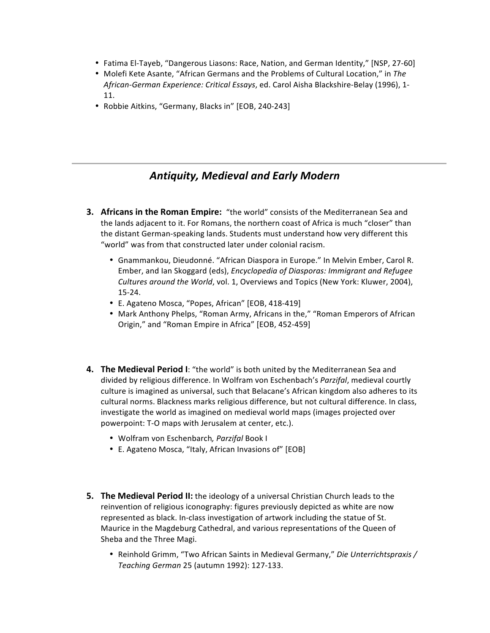- Fatima El-Tayeb, "Dangerous Liasons: Race, Nation, and German Identity," [NSP, 27-60]
- Molefi Kete Asante, "African Germans and the Problems of Cultural Location," in The *African-German Experience: Critical Essays*, ed. Carol Aisha Blackshire-Belay (1996), 1-11.
- Robbie Aitkins, "Germany, Blacks in" [EOB, 240-243]

# *Antiquity, Medieval and Early Modern*

- **3. Africans in the Roman Empire:** "the world" consists of the Mediterranean Sea and the lands adjacent to it. For Romans, the northern coast of Africa is much "closer" than the distant German-speaking lands. Students must understand how very different this "world" was from that constructed later under colonial racism.
	- Gnammankou, Dieudonné. "African Diaspora in Europe." In Melvin Ember, Carol R. Ember, and Ian Skoggard (eds), *Encyclopedia of Diasporas: Immigrant and Refugee Cultures around the World*, vol. 1, Overviews and Topics (New York: Kluwer, 2004), 15-24.
	- E. Agateno Mosca, "Popes, African" [EOB, 418-419]
	- Mark Anthony Phelps, "Roman Army, Africans in the," "Roman Emperors of African Origin," and "Roman Empire in Africa" [EOB, 452-459]
- **4.** The Medieval Period I: "the world" is both united by the Mediterranean Sea and divided by religious difference. In Wolfram von Eschenbach's *Parzifal*, medieval courtly culture is imagined as universal, such that Belacane's African kingdom also adheres to its cultural norms. Blackness marks religious difference, but not cultural difference. In class, investigate the world as imagined on medieval world maps (images projected over powerpoint: T-O maps with Jerusalem at center, etc.).
	- Wolfram von Eschenbarch*, Parzifal* Book I
	- E. Agateno Mosca, "Italy, African Invasions of" [EOB]
- **5.** The Medieval Period II: the ideology of a universal Christian Church leads to the reinvention of religious iconography: figures previously depicted as white are now represented as black. In-class investigation of artwork including the statue of St. Maurice in the Magdeburg Cathedral, and various representations of the Queen of Sheba and the Three Magi.
	- Reinhold Grimm, "Two African Saints in Medieval Germany," *Die Unterrichtspraxis* / *Teaching German* 25 (autumn 1992): 127-133.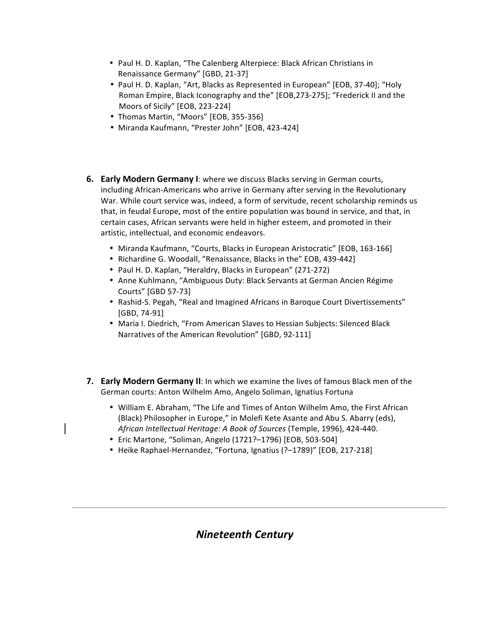- Paul H. D. Kaplan, "The Calenberg Alterpiece: Black African Christians in Renaissance Germany" [GBD, 21-37]
- Paul H. D. Kaplan, "Art, Blacks as Represented in European" [EOB, 37-40]; "Holy Roman Empire, Black Iconography and the" [EOB,273-275]; "Frederick II and the Moors of Sicily" [EOB, 223-224]
- Thomas Martin, "Moors" [EOB, 355-356]
- Miranda Kaufmann, "Prester John" [EOB, 423-424]
- **6.** Early Modern Germany I: where we discuss Blacks serving in German courts, including African-Americans who arrive in Germany after serving in the Revolutionary War. While court service was, indeed, a form of servitude, recent scholarship reminds us that, in feudal Europe, most of the entire population was bound in service, and that, in certain cases, African servants were held in higher esteem, and promoted in their artistic, intellectual, and economic endeavors.
	- Miranda Kaufmann, "Courts, Blacks in European Aristocratic" [EOB, 163-166]
	- Richardine G. Woodall, "Renaissance, Blacks in the" EOB, 439-442]
	- Paul H. D. Kaplan, "Heraldry, Blacks in European" (271-272)
	- Anne Kuhlmann, "Ambiguous Duty: Black Servants at German Ancien Régime Courts" [GBD 57-73]
	- Rashid-S. Pegah, "Real and Imagined Africans in Baroque Court Divertissements"  $[GBD, 74-91]$
	- Maria I. Diedrich, "From American Slaves to Hessian Subjects: Silenced Black Narratives of the American Revolution" [GBD, 92-111]
- **7. Early Modern Germany II:** In which we examine the lives of famous Black men of the German courts: Anton Wilhelm Amo, Angelo Soliman, Ignatius Fortuna
	- William E. Abraham, "The Life and Times of Anton Wilhelm Amo, the First African (Black) Philosopher in Europe," in Molefi Kete Asante and Abu S. Abarry (eds), African Intellectual Heritage: A Book of Sources (Temple, 1996), 424-440.
	- Eric Martone, "Soliman, Angelo (1721?-1796) [EOB, 503-504]
	- Heike Raphael-Hernandez, "Fortuna, Ignatius (?-1789)" [EOB, 217-218]

# *Nineteenth Century*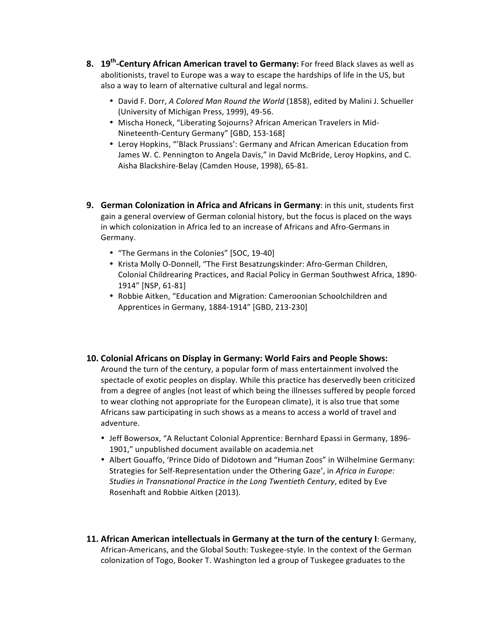- **8. 19<sup>th</sup>-Century African American travel to Germany:** For freed Black slaves as well as abolitionists, travel to Europe was a way to escape the hardships of life in the US, but also a way to learn of alternative cultural and legal norms.
	- David F. Dorr, *A Colored Man Round the World* (1858), edited by Malini J. Schueller (University of Michigan Press, 1999), 49-56.
	- Mischa Honeck, "Liberating Sojourns? African American Travelers in Mid-Nineteenth-Century Germany" [GBD, 153-168]
	- Leroy Hopkins, "'Black Prussians': Germany and African American Education from James W. C. Pennington to Angela Davis," in David McBride, Leroy Hopkins, and C. Aisha Blackshire-Belay (Camden House, 1998), 65-81.
- **9.** German Colonization in Africa and Africans in Germany: in this unit, students first gain a general overview of German colonial history, but the focus is placed on the ways in which colonization in Africa led to an increase of Africans and Afro-Germans in Germany.
	- "The Germans in the Colonies" [SOC, 19-40]
	- Krista Molly O-Donnell, "The First Besatzungskinder: Afro-German Children, Colonial Childrearing Practices, and Racial Policy in German Southwest Africa, 1890-1914" [NSP, 61-81]
	- Robbie Aitken, "Education and Migration: Cameroonian Schoolchildren and Apprentices in Germany, 1884-1914" [GBD, 213-230]

#### **10. Colonial Africans on Display in Germany: World Fairs and People Shows:**

Around the turn of the century, a popular form of mass entertainment involved the spectacle of exotic peoples on display. While this practice has deservedly been criticized from a degree of angles (not least of which being the illnesses suffered by people forced to wear clothing not appropriate for the European climate), it is also true that some Africans saw participating in such shows as a means to access a world of travel and adventure. 

- Jeff Bowersox, "A Reluctant Colonial Apprentice: Bernhard Epassi in Germany, 1896-1901," unpublished document available on academia.net
- Albert Gouaffo, 'Prince Dido of Didotown and "Human Zoos" in Wilhelmine Germany: Strategies for Self-Representation under the Othering Gaze', in *Africa in Europe:* Studies in Transnational Practice in the Long Twentieth Century, edited by Eve Rosenhaft and Robbie Aitken (2013).
- **11. African American intellectuals in Germany at the turn of the century I: Germany,** African-Americans, and the Global South: Tuskegee-style. In the context of the German colonization of Togo, Booker T. Washington led a group of Tuskegee graduates to the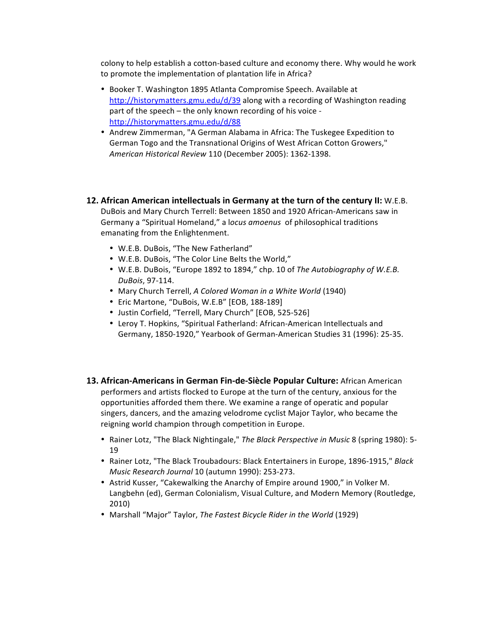colony to help establish a cotton-based culture and economy there. Why would he work to promote the implementation of plantation life in Africa?

- Booker T. Washington 1895 Atlanta Compromise Speech. Available at http://historymatters.gmu.edu/d/39 along with a recording of Washington reading part of the speech  $-$  the only known recording of his voice http://historymatters.gmu.edu/d/88
- Andrew Zimmerman, "A German Alabama in Africa: The Tuskegee Expedition to German Togo and the Transnational Origins of West African Cotton Growers," *American Historical Review* 110 (December 2005): 1362-1398.
- **12.** African American intellectuals in Germany at the turn of the century II: W.E.B. DuBois and Mary Church Terrell: Between 1850 and 1920 African-Americans saw in Germany a "Spiritual Homeland," a locus amoenus of philosophical traditions emanating from the Enlightenment.
	- W.E.B. DuBois, "The New Fatherland"
	- W.E.B. DuBois, "The Color Line Belts the World,"
	- W.E.B. DuBois, "Europe 1892 to 1894," chp. 10 of *The Autobiography of W.E.B. DuBois*, 97-114.
	- Mary Church Terrell, *A Colored Woman in a White World* (1940)
	- Eric Martone, "DuBois, W.E.B" [EOB, 188-189]
	- Justin Corfield, "Terrell, Mary Church" [EOB, 525-526]
	- Leroy T. Hopkins, "Spiritual Fatherland: African-American Intellectuals and Germany, 1850-1920," Yearbook of German-American Studies 31 (1996): 25-35.
- **13. African-Americans in German Fin-de-Siècle Popular Culture:** African American performers and artists flocked to Europe at the turn of the century, anxious for the opportunities afforded them there. We examine a range of operatic and popular singers, dancers, and the amazing velodrome cyclist Major Taylor, who became the reigning world champion through competition in Europe.
	- Rainer Lotz, "The Black Nightingale," The Black Perspective in Music 8 (spring 1980): 5-19
	- Rainer Lotz, "The Black Troubadours: Black Entertainers in Europe, 1896-1915," Black *Music Research Journal* 10 (autumn 1990): 253-273.
	- Astrid Kusser, "Cakewalking the Anarchy of Empire around 1900," in Volker M. Langbehn (ed), German Colonialism, Visual Culture, and Modern Memory (Routledge, 2010)
	- Marshall "Major" Taylor, *The Fastest Bicycle Rider in the World* (1929)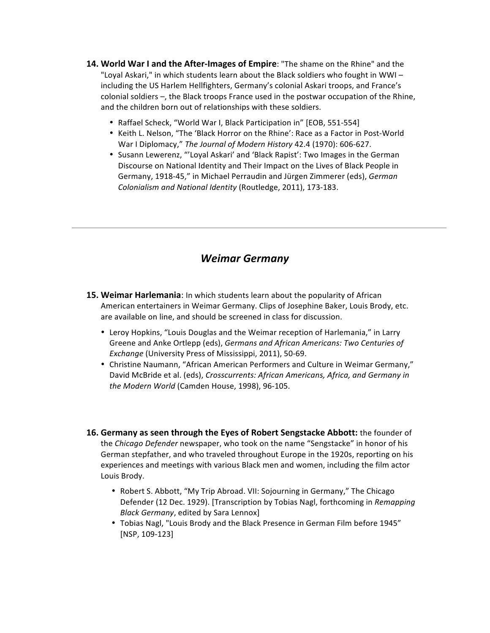- **14. World War I and the After-Images of Empire**: "The shame on the Rhine" and the "Loyal Askari," in which students learn about the Black soldiers who fought in WWIincluding the US Harlem Hellfighters, Germany's colonial Askari troops, and France's colonial soldiers  $-$ , the Black troops France used in the postwar occupation of the Rhine, and the children born out of relationships with these soldiers.
	- Raffael Scheck, "World War I, Black Participation in" [EOB, 551-554]
	- Keith L. Nelson, "The 'Black Horror on the Rhine': Race as a Factor in Post-World War I Diplomacy," The Journal of Modern History 42.4 (1970): 606-627.
	- Susann Lewerenz, "'Loyal Askari' and 'Black Rapist': Two Images in the German Discourse on National Identity and Their Impact on the Lives of Black People in Germany, 1918-45," in Michael Perraudin and Jürgen Zimmerer (eds), *German Colonialism and National Identity* (Routledge, 2011), 173-183.

### *Weimar Germany*

- **15. Weimar Harlemania**: In which students learn about the popularity of African American entertainers in Weimar Germany. Clips of Josephine Baker, Louis Brody, etc. are available on line, and should be screened in class for discussion.
	- Leroy Hopkins, "Louis Douglas and the Weimar reception of Harlemania," in Larry Greene and Anke Ortlepp (eds), Germans and African Americans: Two Centuries of *Exchange* (University Press of Mississippi, 2011), 50-69.
	- Christine Naumann, "African American Performers and Culture in Weimar Germany," David McBride et al. (eds), *Crosscurrents: African Americans, Africa, and Germany in* the Modern World (Camden House, 1998), 96-105.
- **16. Germany as seen through the Eyes of Robert Sengstacke Abbott:** the founder of the *Chicago Defender* newspaper, who took on the name "Sengstacke" in honor of his German stepfather, and who traveled throughout Europe in the 1920s, reporting on his experiences and meetings with various Black men and women, including the film actor Louis Brody.
	- Robert S. Abbott, "My Trip Abroad. VII: Sojourning in Germany," The Chicago Defender (12 Dec. 1929). [Transcription by Tobias Nagl, forthcoming in *Remapping Black Germany*, edited by Sara Lennox]
	- Tobias Nagl, "Louis Brody and the Black Presence in German Film before 1945" [NSP, 109-123]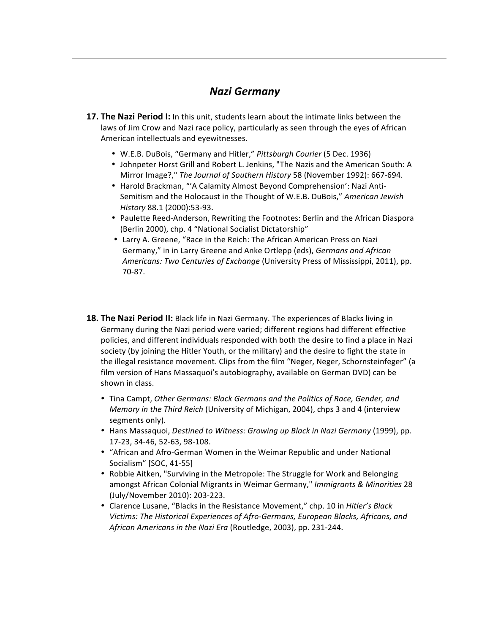# *Nazi Germany*

- **17. The Nazi Period I:** In this unit, students learn about the intimate links between the laws of Jim Crow and Nazi race policy, particularly as seen through the eyes of African American intellectuals and eyewitnesses.
	- W.E.B. DuBois, "Germany and Hitler," Pittsburgh Courier (5 Dec. 1936)
	- Johnpeter Horst Grill and Robert L. Jenkins, "The Nazis and the American South: A Mirror Image?," The Journal of Southern History 58 (November 1992): 667-694.
	- Harold Brackman, "'A Calamity Almost Beyond Comprehension': Nazi Anti-Semitism and the Holocaust in the Thought of W.E.B. DuBois," American Jewish *History* 88.1 (2000):53-93.
	- Paulette Reed-Anderson, Rewriting the Footnotes: Berlin and the African Diaspora (Berlin 2000), chp. 4 "National Socialist Dictatorship"
	- Larry A. Greene, "Race in the Reich: The African American Press on Nazi Germany," in in Larry Greene and Anke Ortlepp (eds), Germans and African *Americans: Two Centuries of Exchange* (University Press of Mississippi, 2011), pp. 70-87.
- **18. The Nazi Period II:** Black life in Nazi Germany. The experiences of Blacks living in Germany during the Nazi period were varied; different regions had different effective policies, and different individuals responded with both the desire to find a place in Nazi society (by joining the Hitler Youth, or the military) and the desire to fight the state in the illegal resistance movement. Clips from the film "Neger, Neger, Schornsteinfeger" (a film version of Hans Massaquoi's autobiography, available on German DVD) can be shown in class.
	- Tina Campt, Other Germans: Black Germans and the Politics of Race, Gender, and *Memory in the Third Reich* (University of Michigan, 2004), chps 3 and 4 (interview segments only).
	- Hans Massaquoi, *Destined to Witness: Growing up Black in Nazi Germany* (1999), pp. 17-23, 34-46, 52-63, 98-108.
	- "African and Afro-German Women in the Weimar Republic and under National Socialism" [SOC, 41-55]
	- Robbie Aitken, "Surviving in the Metropole: The Struggle for Work and Belonging amongst African Colonial Migrants in Weimar Germany," *Immigrants & Minorities* 28 (July/November 2010): 203-223.
	- Clarence Lusane, "Blacks in the Resistance Movement," chp. 10 in *Hitler's Black* Victims: The Historical Experiences of Afro-Germans, European Blacks, Africans, and African Americans in the Nazi Era (Routledge, 2003), pp. 231-244.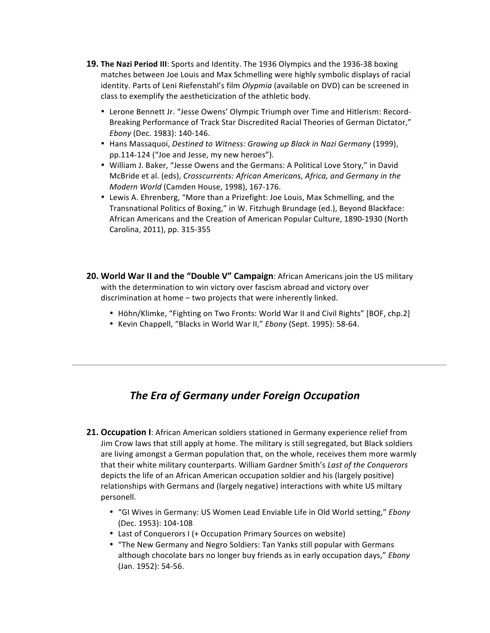- **19. The Nazi Period III:** Sports and Identity. The 1936 Olympics and the 1936-38 boxing matches between Joe Louis and Max Schmelling were highly symbolic displays of racial identity. Parts of Leni Riefenstahl's film *Olypmia* (available on DVD) can be screened in class to exemplify the aestheticization of the athletic body.
	- Lerone Bennett Jr. "Jesse Owens' Olympic Triumph over Time and Hitlerism: Record-Breaking Performance of Track Star Discredited Racial Theories of German Dictator," *Ebony* (Dec. 1983): 140-146.
	- Hans Massaquoi, *Destined to Witness: Growing up Black in Nazi Germany* (1999), pp.114-124 ("Joe and Jesse, my new heroes").
	- William J. Baker, "Jesse Owens and the Germans: A Political Love Story," in David McBride et al. (eds), *Crosscurrents: African Americans, Africa, and Germany in the Modern World* (Camden House, 1998), 167-176.
	- Lewis A. Ehrenberg, "More than a Prizefight: Joe Louis, Max Schmelling, and the Transnational Politics of Boxing," in W. Fitzhugh Brundage (ed.), Beyond Blackface: African Americans and the Creation of American Popular Culture, 1890-1930 (North Carolina, 2011), pp. 315-355
- **20. World War II and the "Double V" Campaign:** African Americans join the US military with the determination to win victory over fascism abroad and victory over discrimination at home - two projects that were inherently linked.
	- Höhn/Klimke, "Fighting on Two Fronts: World War II and Civil Rights" [BOF, chp.2]
	- Kevin Chappell, "Blacks in World War II," Ebony (Sept. 1995): 58-64.

# **The Era of Germany under Foreign Occupation**

- **21. Occupation I:** African American soldiers stationed in Germany experience relief from Jim Crow laws that still apply at home. The military is still segregated, but Black soldiers are living amongst a German population that, on the whole, receives them more warmly that their white military counterparts. William Gardner Smith's Last of the Conquerors depicts the life of an African American occupation soldier and his (largely positive) relationships with Germans and (largely negative) interactions with white US miltary personell.
	- "GI Wives in Germany: US Women Lead Enviable Life in Old World setting," *Ebony* (Dec. 1953): 104-108
	- Last of Conquerors I (+ Occupation Primary Sources on website)
	- "The New Germany and Negro Soldiers: Tan Yanks still popular with Germans although chocolate bars no longer buy friends as in early occupation days," *Ebony* (Jan. 1952): 54-56.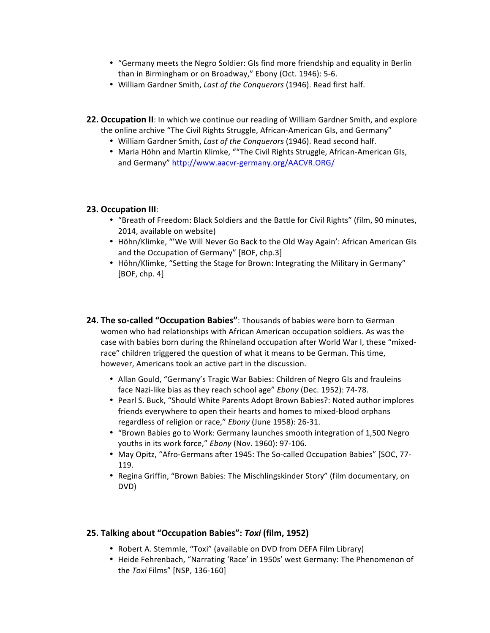- "Germany meets the Negro Soldier: GIs find more friendship and equality in Berlin than in Birmingham or on Broadway," Ebony (Oct. 1946): 5-6.
- William Gardner Smith, *Last of the Conquerors* (1946). Read first half.
- **22. Occupation II:** In which we continue our reading of William Gardner Smith, and explore the online archive "The Civil Rights Struggle, African-American GIs, and Germany"
	- William Gardner Smith, Last of the Conquerors (1946). Read second half.
	- Maria Höhn and Martin Klimke, ""The Civil Rights Struggle, African-American GIs, and Germany" http://www.aacvr-germany.org/AACVR.ORG/

#### **23. Occupation III**:

- "Breath of Freedom: Black Soldiers and the Battle for Civil Rights" (film, 90 minutes, 2014, available on website)
- Höhn/Klimke, "'We Will Never Go Back to the Old Way Again': African American GIs and the Occupation of Germany" [BOF, chp.3]
- Höhn/Klimke, "Setting the Stage for Brown: Integrating the Military in Germany"  $[BOF, chp. 4]$
- **24. The so-called "Occupation Babies"**: Thousands of babies were born to German women who had relationships with African American occupation soldiers. As was the case with babies born during the Rhineland occupation after World War I, these "mixedrace" children triggered the question of what it means to be German. This time, however, Americans took an active part in the discussion.
	- Allan Gould, "Germany's Tragic War Babies: Children of Negro GIs and frauleins face Nazi-like bias as they reach school age" *Ebony* (Dec. 1952): 74-78.
	- Pearl S. Buck, "Should White Parents Adopt Brown Babies?: Noted author implores friends everywhere to open their hearts and homes to mixed-blood orphans regardless of religion or race," Ebony (June 1958): 26-31.
	- "Brown Babies go to Work: Germany launches smooth integration of 1,500 Negro youths in its work force," *Ebony* (Nov. 1960): 97-106.
	- May Opitz, "Afro-Germans after 1945: The So-called Occupation Babies" [SOC, 77-119.
	- Regina Griffin, "Brown Babies: The Mischlingskinder Story" (film documentary, on DVD)

#### **25. Talking about "Occupation Babies":** *Toxi* **(film, 1952)**

- Robert A. Stemmle, "Toxi" (available on DVD from DEFA Film Library)
- Heide Fehrenbach, "Narrating 'Race' in 1950s' west Germany: The Phenomenon of the *Toxi* Films" [NSP, 136-160]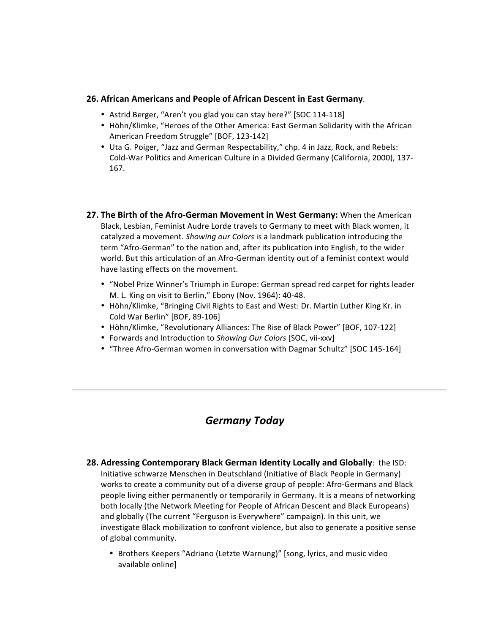#### **26. African Americans and People of African Descent in East Germany**.

- Astrid Berger, "Aren't you glad you can stay here?" [SOC 114-118]
- Höhn/Klimke, "Heroes of the Other America: East German Solidarity with the African American Freedom Struggle" [BOF, 123-142]
- Uta G. Poiger, "Jazz and German Respectability," chp. 4 in Jazz, Rock, and Rebels: Cold-War Politics and American Culture in a Divided Germany (California, 2000), 137-167.
- **27. The Birth of the Afro-German Movement in West Germany:** When the American Black, Lesbian, Feminist Audre Lorde travels to Germany to meet with Black women, it catalyzed a movement. Showing our Colors is a landmark publication introducing the term "Afro-German" to the nation and, after its publication into English, to the wider world. But this articulation of an Afro-German identity out of a feminist context would have lasting effects on the movement.
	- "Nobel Prize Winner's Triumph in Europe: German spread red carpet for rights leader M. L. King on visit to Berlin," Ebony (Nov. 1964): 40-48.
	- Höhn/Klimke, "Bringing Civil Rights to East and West: Dr. Martin Luther King Kr. in Cold War Berlin" [BOF, 89-106]
	- Höhn/Klimke, "Revolutionary Alliances: The Rise of Black Power" [BOF, 107-122]
	- Forwards and Introduction to Showing Our Colors [SOC, vii-xxv]
	- "Three Afro-German women in conversation with Dagmar Schultz" [SOC 145-164]

# *Germany Today*

- **28.** Adressing Contemporary Black German Identity Locally and Globally: the ISD: Initiative schwarze Menschen in Deutschland (Initiative of Black People in Germany) works to create a community out of a diverse group of people: Afro-Germans and Black people living either permanently or temporarily in Germany. It is a means of networking both locally (the Network Meeting for People of African Descent and Black Europeans) and globally (The current "Ferguson is Everywhere" campaign). In this unit, we investigate Black mobilization to confront violence, but also to generate a positive sense of global community.
	- Brothers Keepers "Adriano (Letzte Warnung)" [song, lyrics, and music video available online]